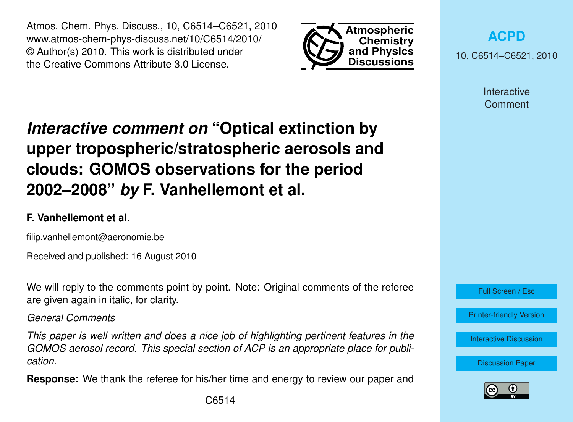Atmos. Chem. Phys. Discuss., 10, C6514–C6521, 2010 www.atmos-chem-phys-discuss.net/10/C6514/2010/ © Author(s) 2010. This work is distributed under the Creative Commons Attribute 3.0 License.



**[ACPD](http://www.atmos-chem-phys-discuss.net)**

10, C6514–C6521, 2010

**Interactive** Comment

# *Interactive comment on* **"Optical extinction by upper tropospheric/stratospheric aerosols and clouds: GOMOS observations for the period 2002–2008"** *by* **F. Vanhellemont et al.**

## **F. Vanhellemont et al.**

filip.vanhellemont@aeronomie.be

Received and published: 16 August 2010

We will reply to the comments point by point. Note: Original comments of the referee are given again in italic, for clarity.

*General Comments*

*This paper is well written and does a nice job of highlighting pertinent features in the GOMOS aerosol record. This special section of ACP is an appropriate place for publication.*

**Response:** We thank the referee for his/her time and energy to review our paper and



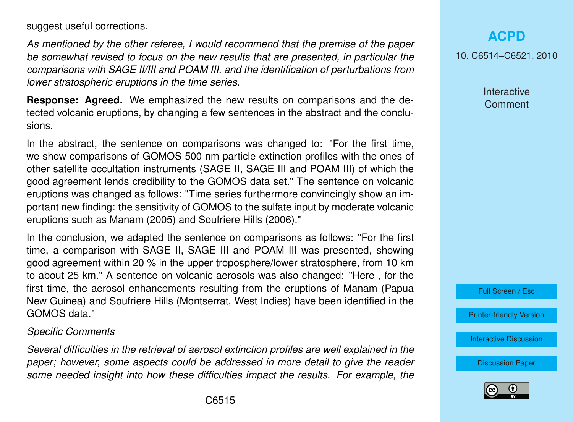suggest useful corrections.

*As mentioned by the other referee, I would recommend that the premise of the paper be somewhat revised to focus on the new results that are presented, in particular the comparisons with SAGE II/III and POAM III, and the identification of perturbations from lower stratospheric eruptions in the time series.*

**Response: Agreed.** We emphasized the new results on comparisons and the detected volcanic eruptions, by changing a few sentences in the abstract and the conclusions.

In the abstract, the sentence on comparisons was changed to: "For the first time, we show comparisons of GOMOS 500 nm particle extinction profiles with the ones of other satellite occultation instruments (SAGE II, SAGE III and POAM III) of which the good agreement lends credibility to the GOMOS data set." The sentence on volcanic eruptions was changed as follows: "Time series furthermore convincingly show an important new finding: the sensitivity of GOMOS to the sulfate input by moderate volcanic eruptions such as Manam (2005) and Soufriere Hills (2006)."

In the conclusion, we adapted the sentence on comparisons as follows: "For the first time, a comparison with SAGE II, SAGE III and POAM III was presented, showing good agreement within 20 % in the upper troposphere/lower stratosphere, from 10 km to about 25 km." A sentence on volcanic aerosols was also changed: "Here , for the first time, the aerosol enhancements resulting from the eruptions of Manam (Papua New Guinea) and Soufriere Hills (Montserrat, West Indies) have been identified in the GOMOS data."

#### *Specific Comments*

*Several difficulties in the retrieval of aerosol extinction profiles are well explained in the paper; however, some aspects could be addressed in more detail to give the reader some needed insight into how these difficulties impact the results. For example, the*

10, C6514–C6521, 2010

**Interactive Comment** 



[Printer-friendly Version](http://www.atmos-chem-phys-discuss.net/10/C6514/2010/acpd-10-C6514-2010-print.pdf)

[Interactive Discussion](http://www.atmos-chem-phys-discuss.net/10/11109/2010/acpd-10-11109-2010-discussion.html)

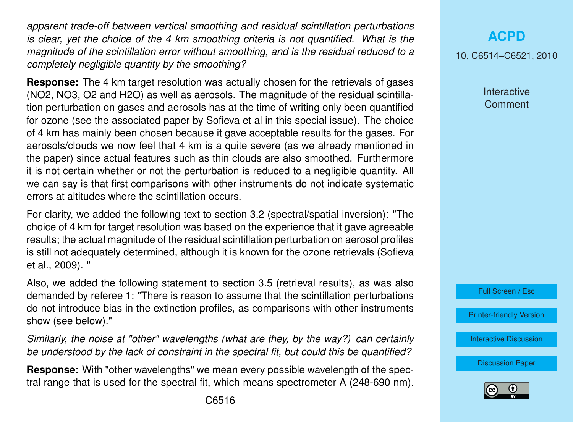*apparent trade-off between vertical smoothing and residual scintillation perturbations is clear, yet the choice of the 4 km smoothing criteria is not quantified. What is the magnitude of the scintillation error without smoothing, and is the residual reduced to a completely negligible quantity by the smoothing?*

**Response:** The 4 km target resolution was actually chosen for the retrievals of gases (NO2, NO3, O2 and H2O) as well as aerosols. The magnitude of the residual scintillation perturbation on gases and aerosols has at the time of writing only been quantified for ozone (see the associated paper by Sofieva et al in this special issue). The choice of 4 km has mainly been chosen because it gave acceptable results for the gases. For aerosols/clouds we now feel that 4 km is a quite severe (as we already mentioned in the paper) since actual features such as thin clouds are also smoothed. Furthermore it is not certain whether or not the perturbation is reduced to a negligible quantity. All we can say is that first comparisons with other instruments do not indicate systematic errors at altitudes where the scintillation occurs.

For clarity, we added the following text to section 3.2 (spectral/spatial inversion): "The choice of 4 km for target resolution was based on the experience that it gave agreeable results; the actual magnitude of the residual scintillation perturbation on aerosol profiles is still not adequately determined, although it is known for the ozone retrievals (Sofieva et al., 2009). "

Also, we added the following statement to section 3.5 (retrieval results), as was also demanded by referee 1: "There is reason to assume that the scintillation perturbations do not introduce bias in the extinction profiles, as comparisons with other instruments show (see below)."

*Similarly, the noise at "other" wavelengths (what are they, by the way?) can certainly be understood by the lack of constraint in the spectral fit, but could this be quantified?*

**Response:** With "other wavelengths" we mean every possible wavelength of the spectral range that is used for the spectral fit, which means spectrometer A (248-690 nm). 10, C6514–C6521, 2010

**Interactive Comment** 



[Printer-friendly Version](http://www.atmos-chem-phys-discuss.net/10/C6514/2010/acpd-10-C6514-2010-print.pdf)

[Interactive Discussion](http://www.atmos-chem-phys-discuss.net/10/11109/2010/acpd-10-11109-2010-discussion.html)

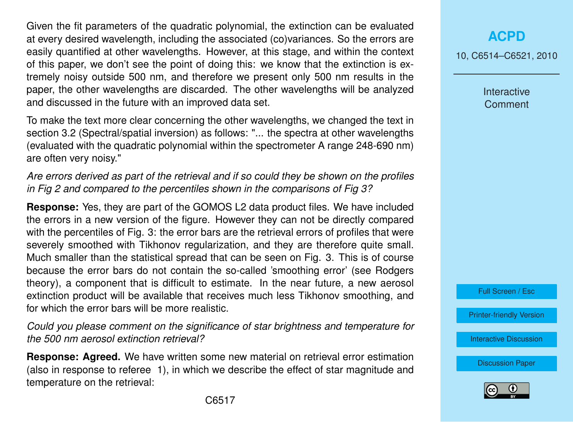Given the fit parameters of the quadratic polynomial, the extinction can be evaluated at every desired wavelength, including the associated (co)variances. So the errors are easily quantified at other wavelengths. However, at this stage, and within the context of this paper, we don't see the point of doing this: we know that the extinction is extremely noisy outside 500 nm, and therefore we present only 500 nm results in the paper, the other wavelengths are discarded. The other wavelengths will be analyzed and discussed in the future with an improved data set.

To make the text more clear concerning the other wavelengths, we changed the text in section 3.2 (Spectral/spatial inversion) as follows: "... the spectra at other wavelengths (evaluated with the quadratic polynomial within the spectrometer A range 248-690 nm) are often very noisy."

*Are errors derived as part of the retrieval and if so could they be shown on the profiles in Fig 2 and compared to the percentiles shown in the comparisons of Fig 3?*

**Response:** Yes, they are part of the GOMOS L2 data product files. We have included the errors in a new version of the figure. However they can not be directly compared with the percentiles of Fig. 3: the error bars are the retrieval errors of profiles that were severely smoothed with Tikhonov regularization, and they are therefore quite small. Much smaller than the statistical spread that can be seen on Fig. 3. This is of course because the error bars do not contain the so-called 'smoothing error' (see Rodgers theory), a component that is difficult to estimate. In the near future, a new aerosol extinction product will be available that receives much less Tikhonov smoothing, and for which the error bars will be more realistic.

*Could you please comment on the significance of star brightness and temperature for the 500 nm aerosol extinction retrieval?*

**Response: Agreed.** We have written some new material on retrieval error estimation (also in response to referee 1), in which we describe the effect of star magnitude and temperature on the retrieval:

10, C6514–C6521, 2010

Interactive **Comment** 

Full Screen / Esc

[Printer-friendly Version](http://www.atmos-chem-phys-discuss.net/10/C6514/2010/acpd-10-C6514-2010-print.pdf)

[Interactive Discussion](http://www.atmos-chem-phys-discuss.net/10/11109/2010/acpd-10-11109-2010-discussion.html)

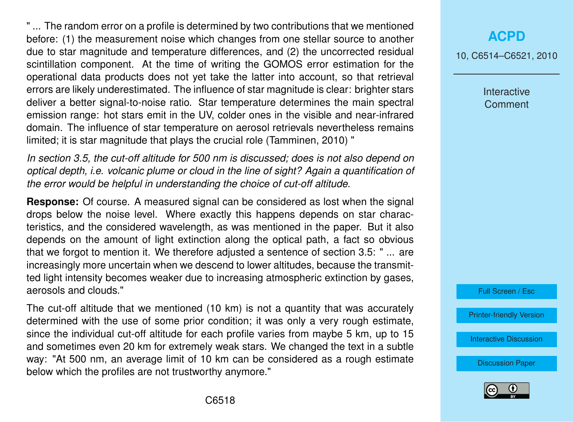" ... The random error on a profile is determined by two contributions that we mentioned before: (1) the measurement noise which changes from one stellar source to another due to star magnitude and temperature differences, and (2) the uncorrected residual scintillation component. At the time of writing the GOMOS error estimation for the operational data products does not yet take the latter into account, so that retrieval errors are likely underestimated. The influence of star magnitude is clear: brighter stars deliver a better signal-to-noise ratio. Star temperature determines the main spectral emission range: hot stars emit in the UV, colder ones in the visible and near-infrared domain. The influence of star temperature on aerosol retrievals nevertheless remains limited; it is star magnitude that plays the crucial role (Tamminen, 2010) "

*In section 3.5, the cut-off altitude for 500 nm is discussed; does is not also depend on optical depth, i.e. volcanic plume or cloud in the line of sight? Again a quantification of the error would be helpful in understanding the choice of cut-off altitude.*

**Response:** Of course. A measured signal can be considered as lost when the signal drops below the noise level. Where exactly this happens depends on star characteristics, and the considered wavelength, as was mentioned in the paper. But it also depends on the amount of light extinction along the optical path, a fact so obvious that we forgot to mention it. We therefore adjusted a sentence of section 3.5: " ... are increasingly more uncertain when we descend to lower altitudes, because the transmitted light intensity becomes weaker due to increasing atmospheric extinction by gases, aerosols and clouds."

The cut-off altitude that we mentioned (10 km) is not a quantity that was accurately determined with the use of some prior condition; it was only a very rough estimate, since the individual cut-off altitude for each profile varies from maybe 5 km, up to 15 and sometimes even 20 km for extremely weak stars. We changed the text in a subtle way: "At 500 nm, an average limit of 10 km can be considered as a rough estimate below which the profiles are not trustworthy anymore."

## **[ACPD](http://www.atmos-chem-phys-discuss.net)**

10, C6514–C6521, 2010

Interactive **Comment** 

Full Screen / Esc

[Printer-friendly Version](http://www.atmos-chem-phys-discuss.net/10/C6514/2010/acpd-10-C6514-2010-print.pdf)

[Interactive Discussion](http://www.atmos-chem-phys-discuss.net/10/11109/2010/acpd-10-11109-2010-discussion.html)

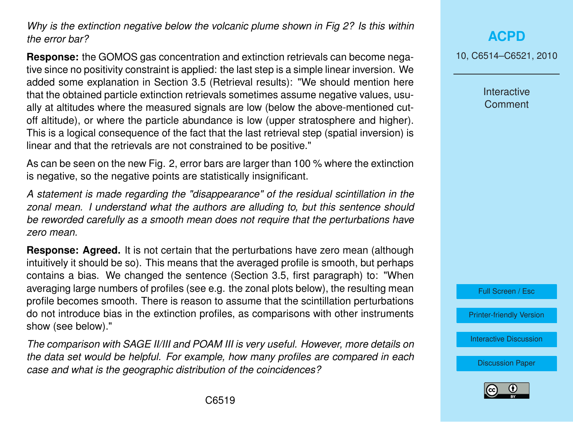*Why is the extinction negative below the volcanic plume shown in Fig 2? Is this within the error bar?*

**Response:** the GOMOS gas concentration and extinction retrievals can become negative since no positivity constraint is applied: the last step is a simple linear inversion. We added some explanation in Section 3.5 (Retrieval results): "We should mention here that the obtained particle extinction retrievals sometimes assume negative values, usually at altitudes where the measured signals are low (below the above-mentioned cutoff altitude), or where the particle abundance is low (upper stratosphere and higher). This is a logical consequence of the fact that the last retrieval step (spatial inversion) is linear and that the retrievals are not constrained to be positive."

As can be seen on the new Fig. 2, error bars are larger than 100 % where the extinction is negative, so the negative points are statistically insignificant.

*A statement is made regarding the "disappearance" of the residual scintillation in the zonal mean. I understand what the authors are alluding to, but this sentence should be reworded carefully as a smooth mean does not require that the perturbations have zero mean.*

**Response: Agreed.** It is not certain that the perturbations have zero mean (although intuitively it should be so). This means that the averaged profile is smooth, but perhaps contains a bias. We changed the sentence (Section 3.5, first paragraph) to: "When averaging large numbers of profiles (see e.g. the zonal plots below), the resulting mean profile becomes smooth. There is reason to assume that the scintillation perturbations do not introduce bias in the extinction profiles, as comparisons with other instruments show (see below)."

*The comparison with SAGE II/III and POAM III is very useful. However, more details on the data set would be helpful. For example, how many profiles are compared in each case and what is the geographic distribution of the coincidences?*

**[ACPD](http://www.atmos-chem-phys-discuss.net)**

10, C6514–C6521, 2010

**Interactive Comment** 



[Printer-friendly Version](http://www.atmos-chem-phys-discuss.net/10/C6514/2010/acpd-10-C6514-2010-print.pdf)

[Interactive Discussion](http://www.atmos-chem-phys-discuss.net/10/11109/2010/acpd-10-11109-2010-discussion.html)

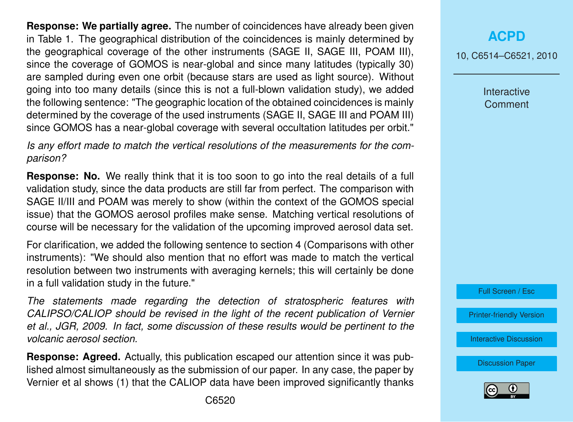**Response: We partially agree.** The number of coincidences have already been given in Table 1. The geographical distribution of the coincidences is mainly determined by the geographical coverage of the other instruments (SAGE II, SAGE III, POAM III), since the coverage of GOMOS is near-global and since many latitudes (typically 30) are sampled during even one orbit (because stars are used as light source). Without going into too many details (since this is not a full-blown validation study), we added the following sentence: "The geographic location of the obtained coincidences is mainly determined by the coverage of the used instruments (SAGE II, SAGE III and POAM III) since GOMOS has a near-global coverage with several occultation latitudes per orbit."

*Is any effort made to match the vertical resolutions of the measurements for the comparison?*

**Response: No.** We really think that it is too soon to go into the real details of a full validation study, since the data products are still far from perfect. The comparison with SAGE II/III and POAM was merely to show (within the context of the GOMOS special issue) that the GOMOS aerosol profiles make sense. Matching vertical resolutions of course will be necessary for the validation of the upcoming improved aerosol data set.

For clarification, we added the following sentence to section 4 (Comparisons with other instruments): "We should also mention that no effort was made to match the vertical resolution between two instruments with averaging kernels; this will certainly be done in a full validation study in the future."

*The statements made regarding the detection of stratospheric features with CALIPSO/CALIOP should be revised in the light of the recent publication of Vernier et al., JGR, 2009. In fact, some discussion of these results would be pertinent to the volcanic aerosol section.*

**Response: Agreed.** Actually, this publication escaped our attention since it was published almost simultaneously as the submission of our paper. In any case, the paper by Vernier et al shows (1) that the CALIOP data have been improved significantly thanks 10, C6514–C6521, 2010

Interactive **Comment** 



[Printer-friendly Version](http://www.atmos-chem-phys-discuss.net/10/C6514/2010/acpd-10-C6514-2010-print.pdf)

[Interactive Discussion](http://www.atmos-chem-phys-discuss.net/10/11109/2010/acpd-10-11109-2010-discussion.html)